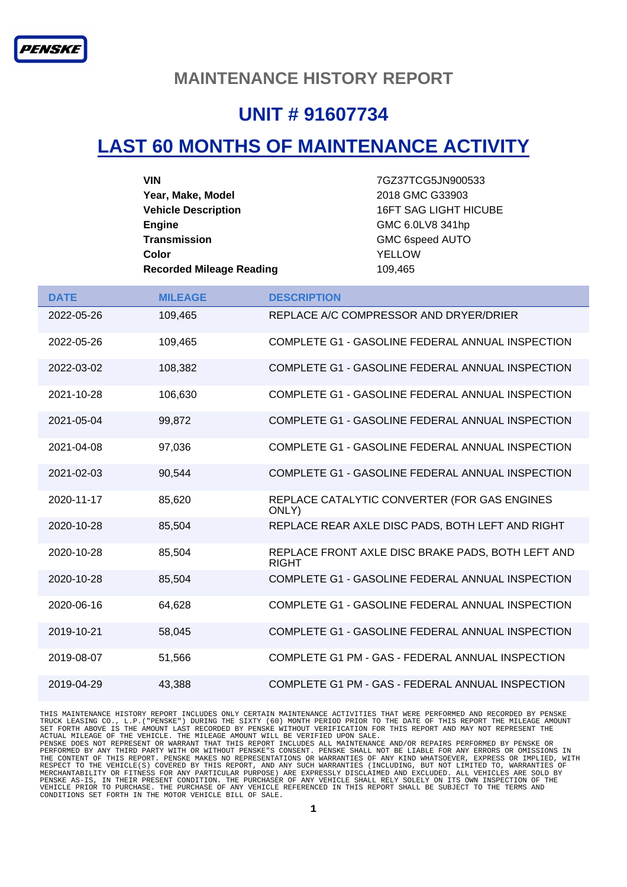#### **MAINTENANCE HISTORY REPORT**

## **UNIT # 91607734**

### **LAST 60 MONTHS OF MAINTENANCE ACTIVITY**

| VIN                             | 7GZ37TCG5JN900533            |
|---------------------------------|------------------------------|
| Year, Make, Model               | 2018 GMC G33903              |
| <b>Vehicle Description</b>      | <b>16FT SAG LIGHT HICUBE</b> |
| <b>Engine</b>                   | GMC 6.0LV8 341hp             |
| Transmission                    | GMC 6speed AUTO              |
| Color                           | YELLOW                       |
| <b>Recorded Mileage Reading</b> | 109.465                      |

| <b>DATE</b> | <b>MILEAGE</b> | <b>DESCRIPTION</b>                                                |
|-------------|----------------|-------------------------------------------------------------------|
| 2022-05-26  | 109,465        | REPLACE A/C COMPRESSOR AND DRYER/DRIER                            |
| 2022-05-26  | 109,465        | COMPLETE G1 - GASOLINE FEDERAL ANNUAL INSPECTION                  |
| 2022-03-02  | 108.382        | COMPLETE G1 - GASOLINE FEDERAL ANNUAL INSPECTION                  |
| 2021-10-28  | 106,630        | COMPLETE G1 - GASOLINE FEDERAL ANNUAL INSPECTION                  |
| 2021-05-04  | 99,872         | COMPLETE G1 - GASOLINE FEDERAL ANNUAL INSPECTION                  |
| 2021-04-08  | 97,036         | COMPLETE G1 - GASOLINE FEDERAL ANNUAL INSPECTION                  |
| 2021-02-03  | 90,544         | COMPLETE G1 - GASOLINE FEDERAL ANNUAL INSPECTION                  |
| 2020-11-17  | 85,620         | REPLACE CATALYTIC CONVERTER (FOR GAS ENGINES<br>ONLY)             |
| 2020-10-28  | 85,504         | REPLACE REAR AXLE DISC PADS, BOTH LEFT AND RIGHT                  |
| 2020-10-28  | 85,504         | REPLACE FRONT AXLE DISC BRAKE PADS, BOTH LEFT AND<br><b>RIGHT</b> |
| 2020-10-28  | 85,504         | COMPLETE G1 - GASOLINE FEDERAL ANNUAL INSPECTION                  |
| 2020-06-16  | 64,628         | COMPLETE G1 - GASOLINE FEDERAL ANNUAL INSPECTION                  |
| 2019-10-21  | 58,045         | COMPLETE G1 - GASOLINE FEDERAL ANNUAL INSPECTION                  |
| 2019-08-07  | 51,566         | COMPLETE G1 PM - GAS - FEDERAL ANNUAL INSPECTION                  |
| 2019-04-29  | 43.388         | COMPLETE G1 PM - GAS - FEDERAL ANNUAL INSPECTION                  |

THIS MAINTENANCE HISTORY REPORT INCLUDES ONLY CERTAIN MAINTENANCE ACTIVITIES THAT WERE PERFORMED AND RECORDED BY PENSKE<br>TRUCK LEASING CO., L.P. ("PENSKE") DURING THE SIXTY (60) MONTH PERIOD PRIOR TO THE DATE OF THIS REPORT MERCHANTABILITY OR FITNESS FOR ANY PARTICULAR PURPOSE) ARE EXPRESSLY DISCLAIMED AND EXCLUDED. ALL VEHICLES ARE SOLD BY<br>PENSKE AS-IS, IN THEIR PRESENT CONDITION. THE PURCHASER OF ANY VEHICLE SHALL RELY SOLELY ON ITS OWN INS